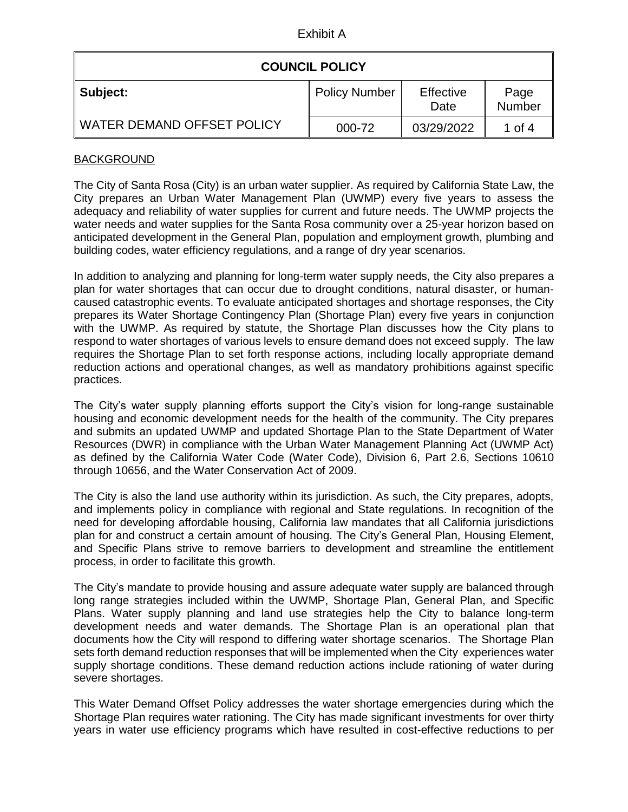Exhibit A

| <b>COUNCIL POLICY</b>             |                      |                   |                       |  |
|-----------------------------------|----------------------|-------------------|-----------------------|--|
| Subject:                          | <b>Policy Number</b> | Effective<br>Date | Page<br><b>Number</b> |  |
| <b>WATER DEMAND OFFSET POLICY</b> | 000-72               | 03/29/2022        | 1 of 4                |  |

## **BACKGROUND**

The City of Santa Rosa (City) is an urban water supplier. As required by California State Law, the City prepares an Urban Water Management Plan (UWMP) every five years to assess the adequacy and reliability of water supplies for current and future needs. The UWMP projects the water needs and water supplies for the Santa Rosa community over a 25-year horizon based on anticipated development in the General Plan, population and employment growth, plumbing and building codes, water efficiency regulations, and a range of dry year scenarios.

In addition to analyzing and planning for long-term water supply needs, the City also prepares a plan for water shortages that can occur due to drought conditions, natural disaster, or humancaused catastrophic events. To evaluate anticipated shortages and shortage responses, the City prepares its Water Shortage Contingency Plan (Shortage Plan) every five years in conjunction with the UWMP. As required by statute, the Shortage Plan discusses how the City plans to respond to water shortages of various levels to ensure demand does not exceed supply. The law requires the Shortage Plan to set forth response actions, including locally appropriate demand reduction actions and operational changes, as well as mandatory prohibitions against specific practices.

The City's water supply planning efforts support the City's vision for long-range sustainable housing and economic development needs for the health of the community. The City prepares and submits an updated UWMP and updated Shortage Plan to the State Department of Water Resources (DWR) in compliance with the Urban Water Management Planning Act (UWMP Act) as defined by the California Water Code (Water Code), Division 6, Part 2.6, Sections 10610 through 10656, and the Water Conservation Act of 2009.

The City is also the land use authority within its jurisdiction. As such, the City prepares, adopts, and implements policy in compliance with regional and State regulations. In recognition of the need for developing affordable housing, California law mandates that all California jurisdictions plan for and construct a certain amount of housing. The City's General Plan, Housing Element, and Specific Plans strive to remove barriers to development and streamline the entitlement process, in order to facilitate this growth.

The City's mandate to provide housing and assure adequate water supply are balanced through long range strategies included within the UWMP, Shortage Plan, General Plan, and Specific Plans. Water supply planning and land use strategies help the City to balance long-term development needs and water demands. The Shortage Plan is an operational plan that documents how the City will respond to differing water shortage scenarios. The Shortage Plan sets forth demand reduction responses that will be implemented when the City experiences water supply shortage conditions. These demand reduction actions include rationing of water during severe shortages.

This Water Demand Offset Policy addresses the water shortage emergencies during which the Shortage Plan requires water rationing. The City has made significant investments for over thirty years in water use efficiency programs which have resulted in cost-effective reductions to per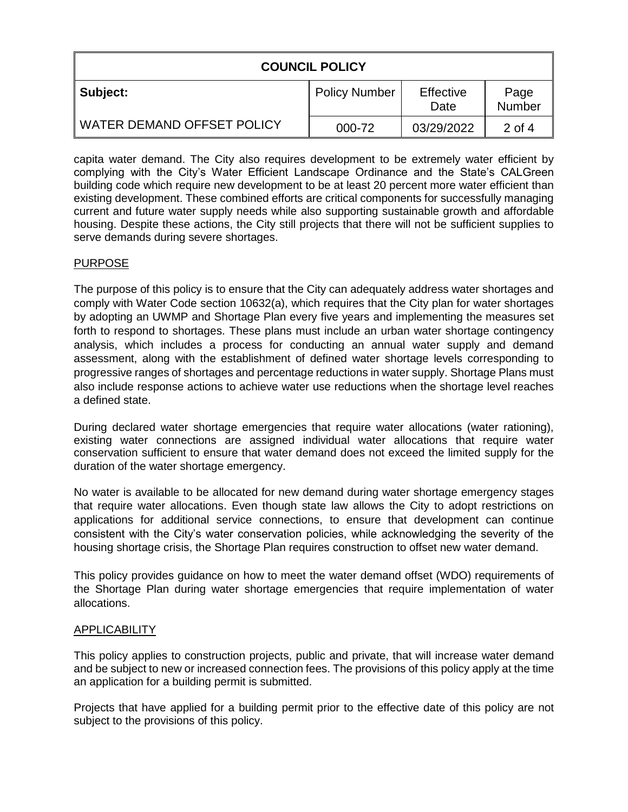| <b>COUNCIL POLICY</b>      |                      |                   |                |  |
|----------------------------|----------------------|-------------------|----------------|--|
| Subject:                   | <b>Policy Number</b> | Effective<br>Date | Page<br>Number |  |
| WATER DEMAND OFFSET POLICY | 000-72               | 03/29/2022        | 2 of 4         |  |

capita water demand. The City also requires development to be extremely water efficient by complying with the City's Water Efficient Landscape Ordinance and the State's CALGreen building code which require new development to be at least 20 percent more water efficient than existing development. These combined efforts are critical components for successfully managing current and future water supply needs while also supporting sustainable growth and affordable housing. Despite these actions, the City still projects that there will not be sufficient supplies to serve demands during severe shortages.

#### PURPOSE

The purpose of this policy is to ensure that the City can adequately address water shortages and comply with Water Code section 10632(a), which requires that the City plan for water shortages by adopting an UWMP and Shortage Plan every five years and implementing the measures set forth to respond to shortages. These plans must include an urban water shortage contingency analysis, which includes a process for conducting an annual water supply and demand assessment, along with the establishment of defined water shortage levels corresponding to progressive ranges of shortages and percentage reductions in water supply. Shortage Plans must also include response actions to achieve water use reductions when the shortage level reaches a defined state.

During declared water shortage emergencies that require water allocations (water rationing), existing water connections are assigned individual water allocations that require water conservation sufficient to ensure that water demand does not exceed the limited supply for the duration of the water shortage emergency.

No water is available to be allocated for new demand during water shortage emergency stages that require water allocations. Even though state law allows the City to adopt restrictions on applications for additional service connections, to ensure that development can continue consistent with the City's water conservation policies, while acknowledging the severity of the housing shortage crisis, the Shortage Plan requires construction to offset new water demand.

This policy provides guidance on how to meet the water demand offset (WDO) requirements of the Shortage Plan during water shortage emergencies that require implementation of water allocations.

## **APPLICABILITY**

This policy applies to construction projects, public and private, that will increase water demand and be subject to new or increased connection fees. The provisions of this policy apply at the time an application for a building permit is submitted.

Projects that have applied for a building permit prior to the effective date of this policy are not subject to the provisions of this policy.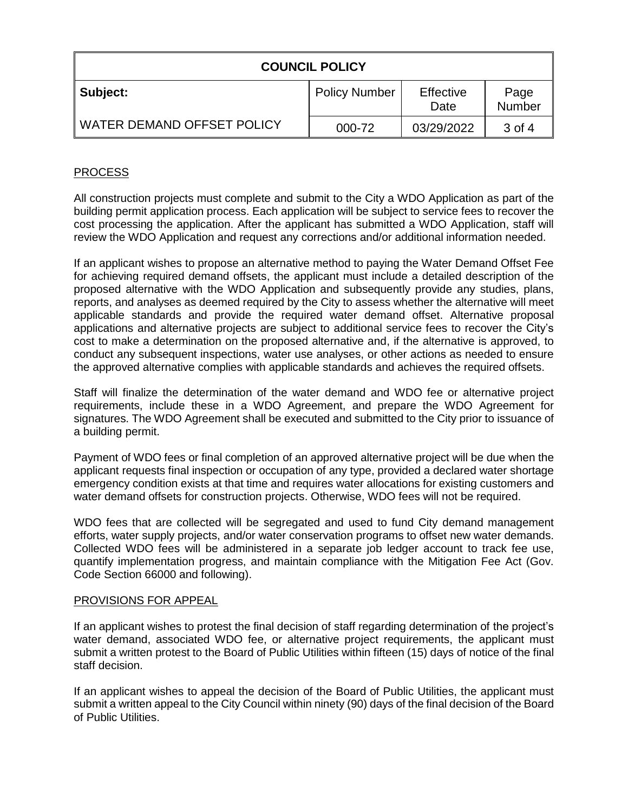| <b>COUNCIL POLICY</b>      |                      |                   |                |  |
|----------------------------|----------------------|-------------------|----------------|--|
| Subject:                   | <b>Policy Number</b> | Effective<br>Date | Page<br>Number |  |
| WATER DEMAND OFFSET POLICY | 000-72               | 03/29/2022        | 3 of 4         |  |

# PROCESS

All construction projects must complete and submit to the City a WDO Application as part of the building permit application process. Each application will be subject to service fees to recover the cost processing the application. After the applicant has submitted a WDO Application, staff will review the WDO Application and request any corrections and/or additional information needed.

If an applicant wishes to propose an alternative method to paying the Water Demand Offset Fee for achieving required demand offsets, the applicant must include a detailed description of the proposed alternative with the WDO Application and subsequently provide any studies, plans, reports, and analyses as deemed required by the City to assess whether the alternative will meet applicable standards and provide the required water demand offset. Alternative proposal applications and alternative projects are subject to additional service fees to recover the City's cost to make a determination on the proposed alternative and, if the alternative is approved, to conduct any subsequent inspections, water use analyses, or other actions as needed to ensure the approved alternative complies with applicable standards and achieves the required offsets.

Staff will finalize the determination of the water demand and WDO fee or alternative project requirements, include these in a WDO Agreement, and prepare the WDO Agreement for signatures. The WDO Agreement shall be executed and submitted to the City prior to issuance of a building permit.

Payment of WDO fees or final completion of an approved alternative project will be due when the applicant requests final inspection or occupation of any type, provided a declared water shortage emergency condition exists at that time and requires water allocations for existing customers and water demand offsets for construction projects. Otherwise, WDO fees will not be required.

WDO fees that are collected will be segregated and used to fund City demand management efforts, water supply projects, and/or water conservation programs to offset new water demands. Collected WDO fees will be administered in a separate job ledger account to track fee use, quantify implementation progress, and maintain compliance with the Mitigation Fee Act (Gov. Code Section 66000 and following).

#### PROVISIONS FOR APPEAL

If an applicant wishes to protest the final decision of staff regarding determination of the project's water demand, associated WDO fee, or alternative project requirements, the applicant must submit a written protest to the Board of Public Utilities within fifteen (15) days of notice of the final staff decision.

If an applicant wishes to appeal the decision of the Board of Public Utilities, the applicant must submit a written appeal to the City Council within ninety (90) days of the final decision of the Board of Public Utilities.